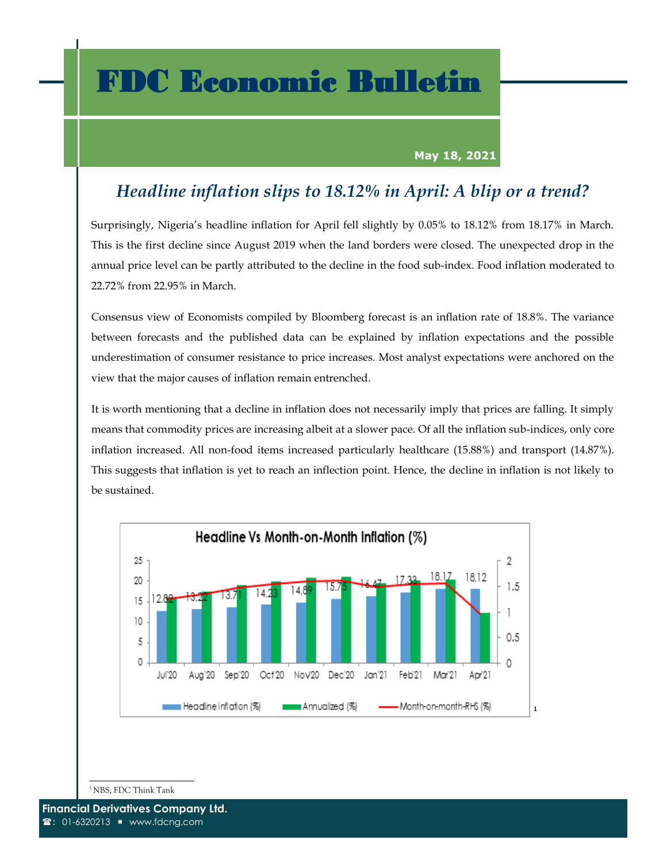## FDC Economic Bulletin

## **May 18, 2021**

## *Headline inflation slips to 18.12% in April: A blip or a trend?*

Surprisingly, Nigeria's headline inflation for April fell slightly by 0.05% to 18.12% from 18.17% in March. This is the first decline since August 2019 when the land borders were closed. The unexpected drop in the annual price level can be partly attributed to the decline in the food sub-index. Food inflation moderated to 22.72% from 22.95% in March.

Consensus view of Economists compiled by Bloomberg forecast is an inflation rate of 18.8%. The variance between forecasts and the published data can be explained by inflation expectations and the possible underestimation of consumer resistance to price increases. Most analyst expectations were anchored on the view that the major causes of inflation remain entrenched.

It is worth mentioning that a decline in inflation does not necessarily imply that prices are falling. It simply means that commodity prices are increasing albeit at a slower pace. Of all the inflation sub-indices, only core inflation increased. All non-food items increased particularly healthcare (15.88%) and transport (14.87%). This suggests that inflation is yet to reach an inflection point. Hence, the decline in inflation is not likely to be sustained.



<sup>1</sup>NBS, FDC Think Tank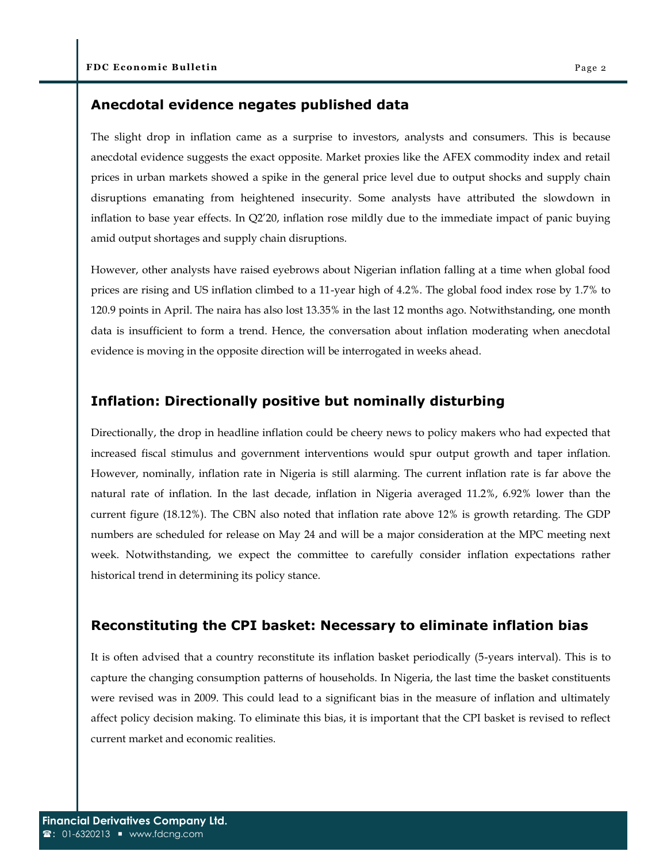## **Anecdotal evidence negates published data**

The slight drop in inflation came as a surprise to investors, analysts and consumers. This is because anecdotal evidence suggests the exact opposite. Market proxies like the AFEX commodity index and retail prices in urban markets showed a spike in the general price level due to output shocks and supply chain disruptions emanating from heightened insecurity. Some analysts have attributed the slowdown in inflation to base year effects. In Q2'20, inflation rose mildly due to the immediate impact of panic buying amid output shortages and supply chain disruptions.

However, other analysts have raised eyebrows about Nigerian inflation falling at a time when global food prices are rising and US inflation climbed to a 11-year high of 4.2%. The global food index rose by 1.7% to 120.9 points in April. The naira has also lost 13.35% in the last 12 months ago. Notwithstanding, one month data is insufficient to form a trend. Hence, the conversation about inflation moderating when anecdotal evidence is moving in the opposite direction will be interrogated in weeks ahead.

## **Inflation: Directionally positive but nominally disturbing**

Directionally, the drop in headline inflation could be cheery news to policy makers who had expected that increased fiscal stimulus and government interventions would spur output growth and taper inflation. However, nominally, inflation rate in Nigeria is still alarming. The current inflation rate is far above the natural rate of inflation. In the last decade, inflation in Nigeria averaged 11.2%, 6.92% lower than the current figure (18.12%). The CBN also noted that inflation rate above 12% is growth retarding. The GDP numbers are scheduled for release on May 24 and will be a major consideration at the MPC meeting next week. Notwithstanding, we expect the committee to carefully consider inflation expectations rather historical trend in determining its policy stance.

## **Reconstituting the CPI basket: Necessary to eliminate inflation bias**

It is often advised that a country reconstitute its inflation basket periodically (5-years interval). This is to capture the changing consumption patterns of households. In Nigeria, the last time the basket constituents were revised was in 2009. This could lead to a significant bias in the measure of inflation and ultimately affect policy decision making. To eliminate this bias, it is important that the CPI basket is revised to reflect current market and economic realities.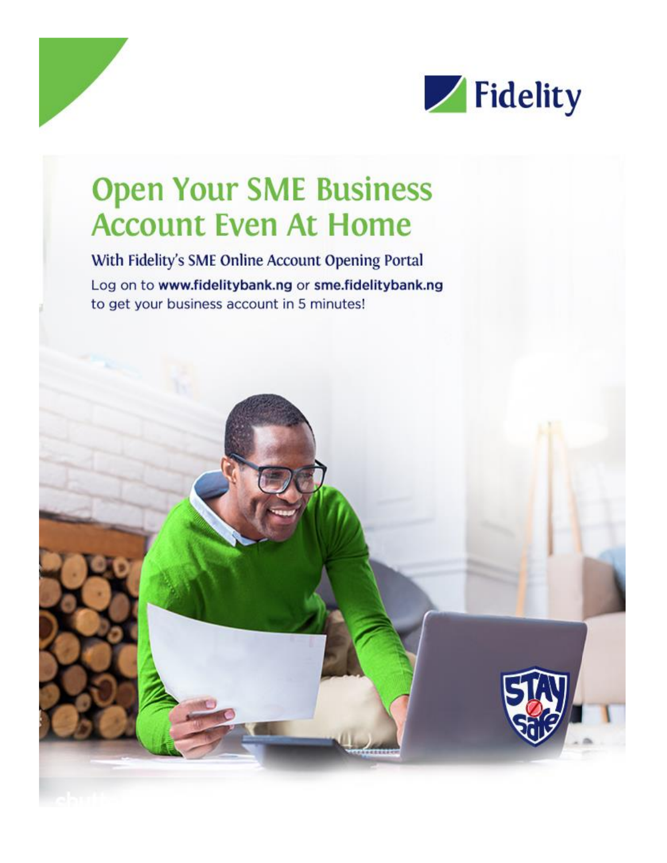

# **Open Your SME Business Account Even At Home**

With Fidelity's SME Online Account Opening Portal Log on to www.fidelitybank.ng or sme.fidelitybank.ng to get your business account in 5 minutes!

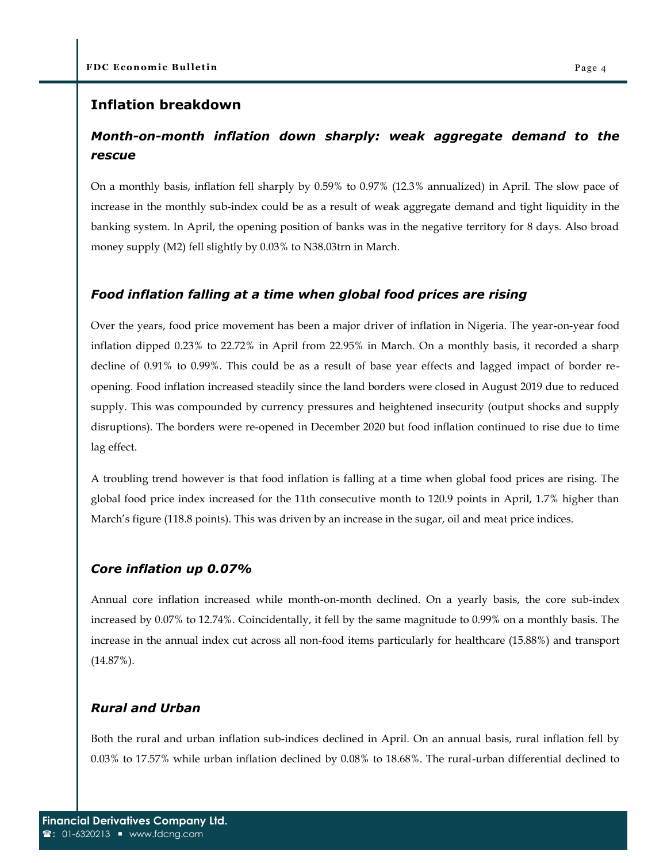### **Inflation breakdown**

## *Month-on-month inflation down sharply: weak aggregate demand to the rescue*

On a monthly basis, inflation fell sharply by 0.59% to 0.97% (12.3% annualized) in April. The slow pace of increase in the monthly sub-index could be as a result of weak aggregate demand and tight liquidity in the banking system. In April, the opening position of banks was in the negative territory for 8 days. Also broad money supply (M2) fell slightly by 0.03% to N38.03trn in March.

#### *Food inflation falling at a time when global food prices are rising*

Over the years, food price movement has been a major driver of inflation in Nigeria. The year-on-year food inflation dipped 0.23% to 22.72% in April from 22.95% in March. On a monthly basis, it recorded a sharp decline of 0.91% to 0.99%. This could be as a result of base year effects and lagged impact of border reopening. Food inflation increased steadily since the land borders were closed in August 2019 due to reduced supply. This was compounded by currency pressures and heightened insecurity (output shocks and supply disruptions). The borders were re-opened in December 2020 but food inflation continued to rise due to time lag effect.

A troubling trend however is that food inflation is falling at a time when global food prices are rising. The global food price index increased for the 11th consecutive month to 120.9 points in April, 1.7% higher than March's figure (118.8 points). This was driven by an increase in the sugar, oil and meat price indices.

#### *Core inflation up 0.07%*

Annual core inflation increased while month-on-month declined. On a yearly basis, the core sub-index increased by 0.07% to 12.74%. Coincidentally, it fell by the same magnitude to 0.99% on a monthly basis. The increase in the annual index cut across all non-food items particularly for healthcare (15.88%) and transport (14.87%).

#### *Rural and Urban*

Both the rural and urban inflation sub-indices declined in April. On an annual basis, rural inflation fell by 0.03% to 17.57% while urban inflation declined by 0.08% to 18.68%. The rural-urban differential declined to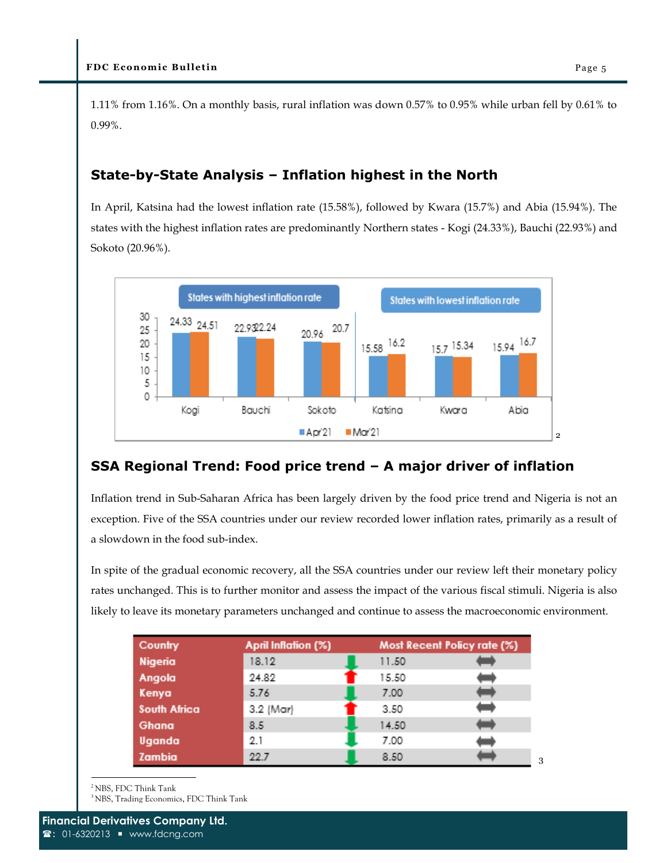1.11% from 1.16%. On a monthly basis, rural inflation was down 0.57% to 0.95% while urban fell by 0.61% to 0.99%.

## **State-by-State Analysis – Inflation highest in the North**

In April, Katsina had the lowest inflation rate (15.58%), followed by Kwara (15.7%) and Abia (15.94%). The states with the highest inflation rates are predominantly Northern states - Kogi (24.33%), Bauchi (22.93%) and Sokoto (20.96%).



## **SSA Regional Trend: Food price trend – A major driver of inflation**

Inflation trend in Sub-Saharan Africa has been largely driven by the food price trend and Nigeria is not an exception. Five of the SSA countries under our review recorded lower inflation rates, primarily as a result of a slowdown in the food sub-index.

In spite of the gradual economic recovery, all the SSA countries under our review left their monetary policy rates unchanged. This is to further monitor and assess the impact of the various fiscal stimuli. Nigeria is also likely to leave its monetary parameters unchanged and continue to assess the macroeconomic environment.

| Country             | April Inflation (%) |       | Most Recent Policy rate (%) |  |
|---------------------|---------------------|-------|-----------------------------|--|
| Nigeria             | 18.12               | 11.50 |                             |  |
| Angola              | 24.82               | 15.50 |                             |  |
| Kenya               | 5.76                | 7.00  |                             |  |
| <b>South Africa</b> | 3.2 (Mar)           | 3.50  |                             |  |
| Ghana               | 8.5                 | 14.50 |                             |  |
| Uganda              | 2.1                 | 7.00  |                             |  |
| Zambia              | 22.7                | 8.50  |                             |  |

<sup>2</sup>NBS, FDC Think Tank

<sup>3</sup>NBS, Trading Economics, FDC Think Tank

3